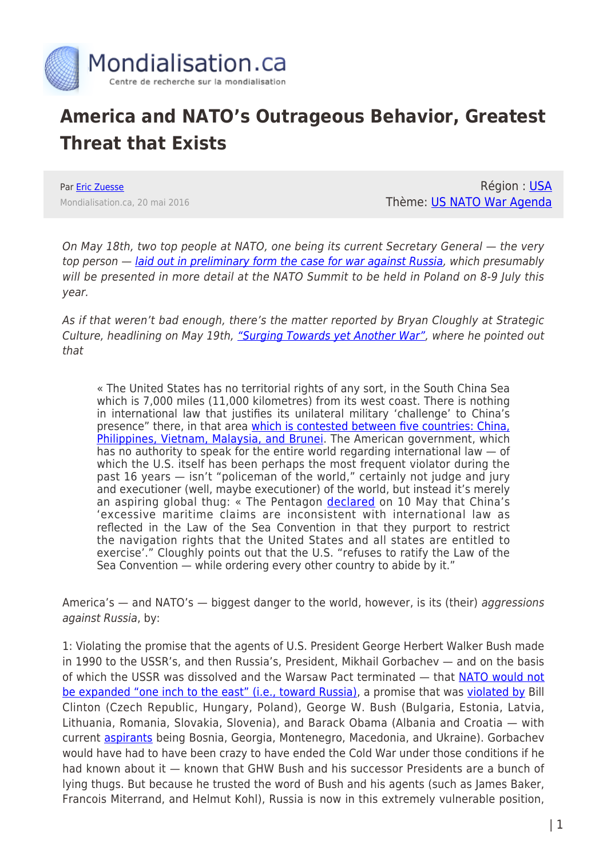

## **America and NATO's Outrageous Behavior, Greatest Threat that Exists**

Par [Eric Zuesse](https://www.mondialisation.ca/author/eric-zuesse) Mondialisation.ca, 20 mai 2016

Région : [USA](https://www.mondialisation.ca/region/usa) Thème: [US NATO War Agenda](https://www.mondialisation.ca/theme/us-nato-war-agenda)

On May 18th, two top people at NATO, one being its current Secretary General — the very top person — *laid out in preliminary form the case for war against Russia*, which presumably will be presented in more detail at the NATO Summit to be held in Poland on 8-9 July this year.

As if that weren't bad enough, there's the matter reported by Bryan Cloughly at Strategic Culture, headlining on May 19th, ["Surging Towards yet Another War"](http://www.strategic-culture.org/news/2016/05/19/surging-towards-yet-another-war.html), where he pointed out that

« The United States has no territorial rights of any sort, in the South China Sea which is 7,000 miles (11,000 kilometres) from its west coast. There is nothing in international law that justifies its unilateral military 'challenge' to China's presence" there, in that area [which is contested between five countries: China,](http://www.bbc.com/news/world-asia-pacific-13748349) [Philippines, Vietnam, Malaysia, and Brunei](http://www.bbc.com/news/world-asia-pacific-13748349). The American government, which has no authority to speak for the entire world regarding international law  $-$  of which the U.S. itself has been perhaps the most frequent violator during the past 16 years — isn't "policeman of the world," certainly not judge and jury and executioner (well, maybe executioner) of the world, but instead it's merely an aspiring global thug: « The Pentagon [declared](http://www.voanews.com/content/us-warship-on-freedom-of-navigation-operation-in-south-china-sea/3322983.html) on 10 May that China's 'excessive maritime claims are inconsistent with international law as reflected in the Law of the Sea Convention in that they purport to restrict the navigation rights that the United States and all states are entitled to exercise'." Cloughly points out that the U.S. "refuses to ratify the Law of the Sea Convention — while ordering every other country to abide by it."

America's — and NATO's — biggest danger to the world, however, is its (their) aggressions against Russia, by:

1: Violating the promise that the agents of U.S. President George Herbert Walker Bush made in 1990 to the USSR's, and then Russia's, President, Mikhail Gorbachev — and on the basis of which the USSR was dissolved and the Warsaw Pact terminated — that [NATO would not](http://www.washingtonsblog.com/2015/09/how-america-double-crossed-russia-and-shamed-the-west.html) [be expanded "one inch to the east" \(i.e., toward Russia\)](http://www.washingtonsblog.com/2015/09/how-america-double-crossed-russia-and-shamed-the-west.html), a promise that was [violated by](https://en.wikipedia.org/wiki/Member_states_of_NATO) Bill Clinton (Czech Republic, Hungary, Poland), George W. Bush (Bulgaria, Estonia, Latvia, Lithuania, Romania, Slovakia, Slovenia), and Barack Obama (Albania and Croatia — with current [aspirants](http://www.nato.int/cps/en/natolive/topics_49212.htm) being Bosnia, Georgia, Montenegro, Macedonia, and Ukraine). Gorbachev would have had to have been crazy to have ended the Cold War under those conditions if he had known about it — known that GHW Bush and his successor Presidents are a bunch of lying thugs. But because he trusted the word of Bush and his agents (such as James Baker, Francois Miterrand, and Helmut Kohl), Russia is now in this extremely vulnerable position,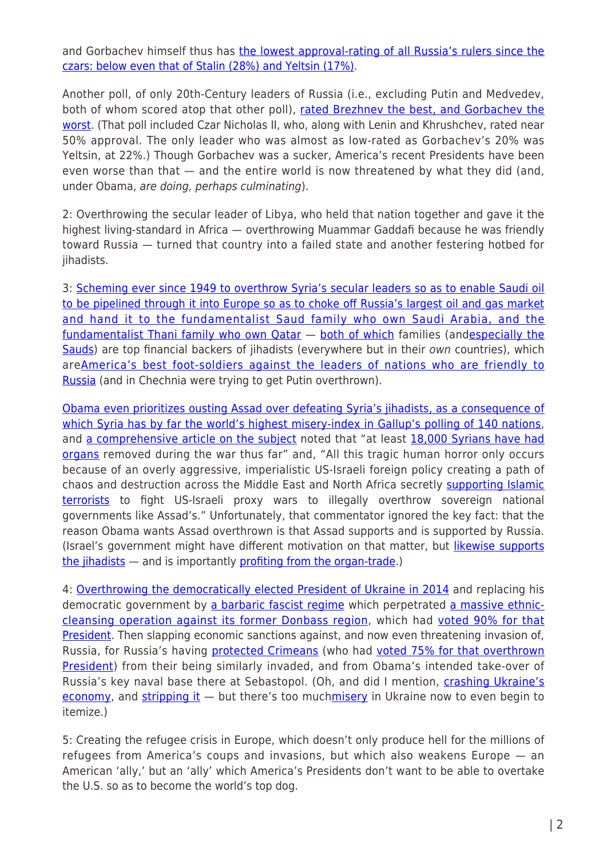and Gorbachev himself thus has [the lowest approval-rating of all Russia's rulers since the](http://www.upi.com/Top_News/World-News/2012/02/02/Gorbachev-named-least-popular-Russia-leader/27121328208913/) [czars: below even that of Stalin \(28%\) and Yeltsin \(17%\)](http://www.upi.com/Top_News/World-News/2012/02/02/Gorbachev-named-least-popular-Russia-leader/27121328208913/).

Another poll, of only 20th-Century leaders of Russia (i.e., excluding Putin and Medvedev, both of whom scored atop that other poll), [rated Brezhnev the best, and Gorbachev the](https://www.rt.com/politics/brezhnev-stalin-gorbachev-soviet-638/) [worst](https://www.rt.com/politics/brezhnev-stalin-gorbachev-soviet-638/). (That poll included Czar Nicholas II, who, along with Lenin and Khrushchev, rated near 50% approval. The only leader who was almost as low-rated as Gorbachev's 20% was Yeltsin, at 22%.) Though Gorbachev was a sucker, America's recent Presidents have been even worse than that — and the entire world is now threatened by what they did (and, under Obama, are doing, perhaps culminating).

2: Overthrowing the secular leader of Libya, who held that nation together and gave it the highest living-standard in Africa — overthrowing Muammar Gaddafi because he was friendly toward Russia — turned that country into a failed state and another festering hotbed for jihadists.

3: [Scheming ever since 1949 to overthrow Syria's secular leaders so as to enable Saudi oil](http://www.politico.eu/article/why-the-arabs-dont-want-us-in-syria-mideast-conflict-oil-intervention/) [to be pipelined through it into Europe so as to choke off Russia's largest oil and gas market](http://www.politico.eu/article/why-the-arabs-dont-want-us-in-syria-mideast-conflict-oil-intervention/) [and hand it to the fundamentalist Saud family who own Saudi Arabia, and the](http://www.politico.eu/article/why-the-arabs-dont-want-us-in-syria-mideast-conflict-oil-intervention/) [fundamentalist Thani family who own Qatar](http://www.politico.eu/article/why-the-arabs-dont-want-us-in-syria-mideast-conflict-oil-intervention/) — [both of which](http://www.washingtonsblog.com/2016/02/terrorists-arent-hitting-u-s-now.html) families (an[despecially the](http://rinf.com/alt-news/breaking-news/al-qaedas-bookkeeper-spills-beans/) [Sauds](http://rinf.com/alt-news/breaking-news/al-qaedas-bookkeeper-spills-beans/)) are top financial backers of jihadists (everywhere but in their own countries), which are[America's best foot-soldiers against the leaders of nations who are friendly to](https://www.youtube.com/watch?v=A9RCFZnWGE0) [Russia](https://www.youtube.com/watch?v=A9RCFZnWGE0) (and in Chechnia were trying to get Putin overthrown).

[Obama even prioritizes ousting Assad over defeating Syria's jihadists, as a consequence of](http://www.washingtonsblog.com/2016/05/obama-prioritizes-ousting-assad-defeating-syrias-jihadists.html) [which Syria has by far the world's highest misery-index in Gallup's polling of 140 nations,](http://www.washingtonsblog.com/2016/05/obama-prioritizes-ousting-assad-defeating-syrias-jihadists.html) and [a comprehensive article on the subject](http://empireexposed.blogspot.co.id/2016/05/israel-is-global-organ-harvesting.html) noted that "at least [18,000 Syrians have had](http://www.upi.com/Top_News/World-News/2016/05/12/The-underbelly-of-Syrias-war-a-thriving-trade-in-human-organs/5301462896201/) [organs](http://www.upi.com/Top_News/World-News/2016/05/12/The-underbelly-of-Syrias-war-a-thriving-trade-in-human-organs/5301462896201/) removed during the war thus far" and, "All this tragic human horror only occurs because of an overly aggressive, imperialistic US-Israeli foreign policy creating a path of chaos and destruction across the Middle East and North Africa secretly [supporting Islamic](http://www.globalresearch.ca/the-isis-islamic-terrorists-are-supported-by-the-us-israel-and-saudi-arabia/5396171) [terrorists](http://www.globalresearch.ca/the-isis-islamic-terrorists-are-supported-by-the-us-israel-and-saudi-arabia/5396171) to fight US-Israeli proxy wars to illegally overthrow sovereign national governments like Assad's." Unfortunately, that commentator ignored the key fact: that the reason Obama wants Assad overthrown is that Assad supports and is supported by Russia. (Israel's government might have different motivation on that matter, but [likewise supports](http://www.independent.co.uk/news/world/middle-east/syria-civil-war-the-israeli-hospitals-treating-wounded-soldiers-from-the-violence-across-the-border-10121010.html) [the jihadists](http://www.independent.co.uk/news/world/middle-east/syria-civil-war-the-israeli-hospitals-treating-wounded-soldiers-from-the-violence-across-the-border-10121010.html) — and is importantly [profiting from the organ-trade](http://empireexposed.blogspot.co.id/2016/05/israel-is-global-organ-harvesting.html).)

4: [Overthrowing the democratically elected President of Ukraine in 2014](https://www.youtube.com/watch?v=8-RyOaFwcEw) and replacing his democratic government by [a barbaric fascist regime](http://www.washingtonsblog.com/2014/05/videos-photos-odessan-massacre-done.html) which perpetrated [a massive ethnic](http://rinf.com/alt-news/editorials/obamas-ukrainian-stooges/)[cleansing operation against its former Donbass region](http://rinf.com/alt-news/editorials/obamas-ukrainian-stooges/), which had [voted 90% for that](http://observationalism.com/wp-content/uploads/2014/01/Ukraine_historical_vs_electoral_2010.png) **[President](http://observationalism.com/wp-content/uploads/2014/01/Ukraine_historical_vs_electoral_2010.png)**. Then slapping economic sanctions against, and now even threatening invasion of, Russia, for Russia's having [protected Crimeans](http://www.fort-russ.com/2015/02/korsun-massacre-anniversary-what-really.html) (who had [voted 75% for that overthrown](http://observationalism.com/wp-content/uploads/2014/01/Ukraine_historical_vs_electoral_2010.png) [President](http://observationalism.com/wp-content/uploads/2014/01/Ukraine_historical_vs_electoral_2010.png)) from their being similarly invaded, and from Obama's intended take-over of Russia's key naval base there at Sebastopol. (Oh, and did I mention, [crashing Ukraine's](http://www.washingtonsblog.com/2015/03/worlds-great-newspaper-reports-ukraine.html) [economy,](http://www.washingtonsblog.com/2015/03/worlds-great-newspaper-reports-ukraine.html) and [stripping it](https://off-guardian.org/2016/05/18/the-eu-and-the-deforestation-of-ukraine/)  $-$  but there's too muc[hmisery](http://www.globalresearch.ca/gallup-ukrainians-loathe-the-kiev-government-imposed-by-obama/5497679) in Ukraine now to even begin to itemize.)

5: Creating the refugee crisis in Europe, which doesn't only produce hell for the millions of refugees from America's coups and invasions, but which also weakens Europe — an American 'ally,' but an 'ally' which America's Presidents don't want to be able to overtake the U.S. so as to become the world's top dog.